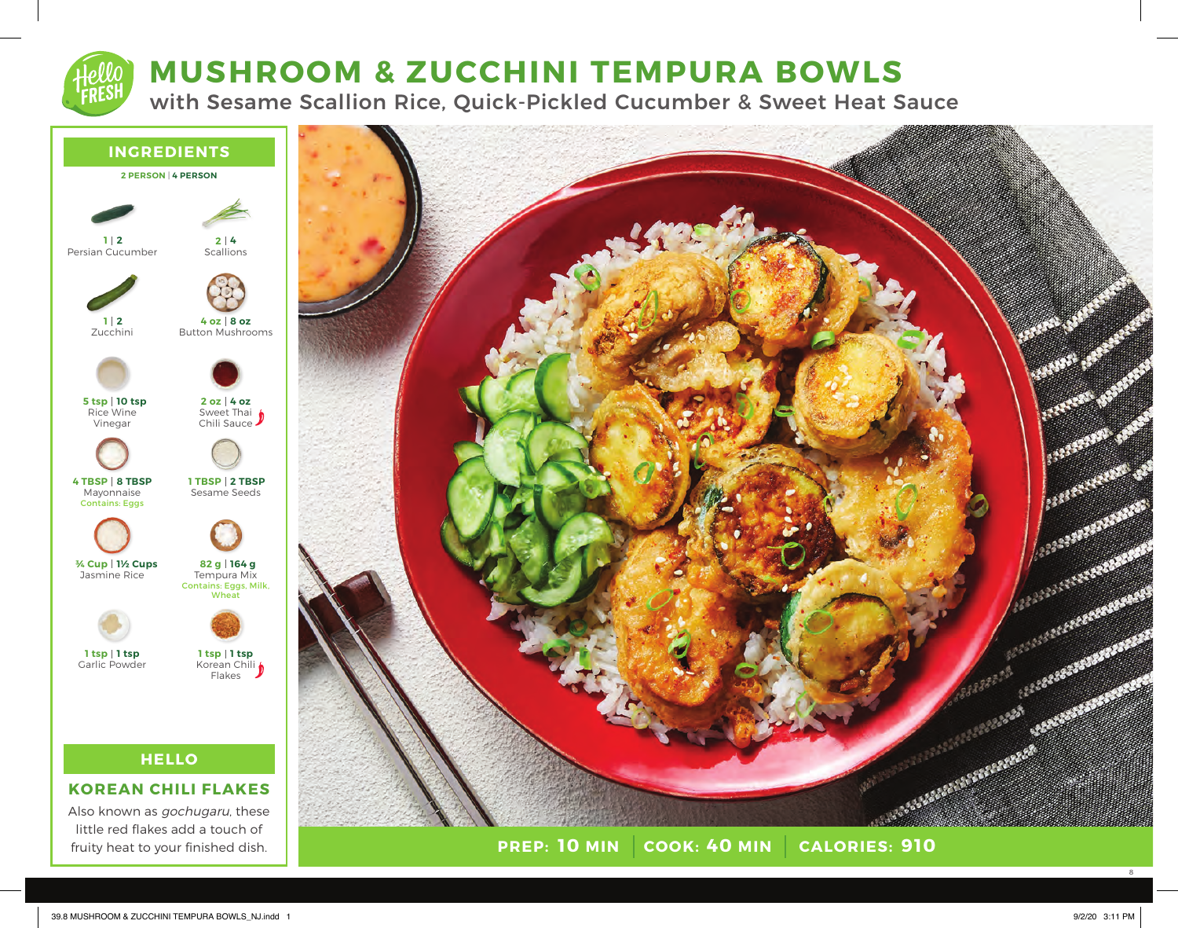# **MUSHROOM & ZUCCHINI TEMPURA BOWLS**

with Sesame Scallion Rice, Quick-Pickled Cucumber & Sweet Heat Sauce



# **KOREAN CHILI FLAKES**

Also known as gochugaru, these little red flakes add a touch of fruity heat to your finished dish.



**PREP: 10 MIN COOK: 40 MIN 10 MIN 40 MIN 910**

8